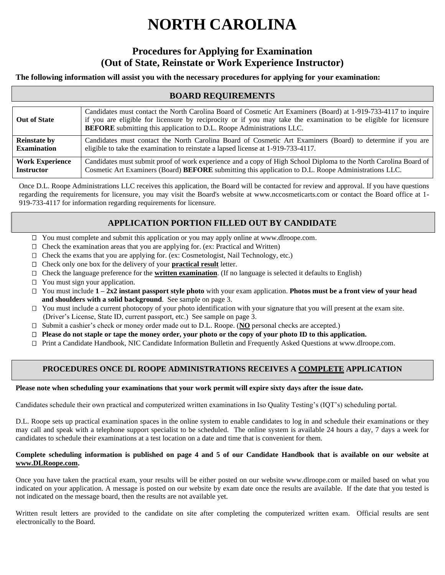# **NORTH CAROLINA**

# **Procedures for Applying for Examination (Out of State, Reinstate or Work Experience Instructor)**

## **The following information will assist you with the necessary procedures for applying for your examination:**

# **BOARD REQUIREMENTS**

| <b>Out of State</b>    | Candidates must contact the North Carolina Board of Cosmetic Art Examiners (Board) at 1-919-733-4117 to inquire<br>if you are eligible for licensure by reciprocity or if you may take the examination to be eligible for licensure<br><b>BEFORE</b> submitting this application to D.L. Roope Administrations LLC. |
|------------------------|---------------------------------------------------------------------------------------------------------------------------------------------------------------------------------------------------------------------------------------------------------------------------------------------------------------------|
| <b>Reinstate by</b>    | Candidates must contact the North Carolina Board of Cosmetic Art Examiners (Board) to determine if you are                                                                                                                                                                                                          |
| <b>Examination</b>     | eligible to take the examination to reinstate a lapsed license at 1-919-733-4117.                                                                                                                                                                                                                                   |
| <b>Work Experience</b> | Candidates must submit proof of work experience and a copy of High School Diploma to the North Carolina Board of                                                                                                                                                                                                    |
| <b>Instructor</b>      | Cosmetic Art Examiners (Board) BEFORE submitting this application to D.L. Roope Administrations LLC.                                                                                                                                                                                                                |

Once D.L. Roope Administrations LLC receives this application, the Board will be contacted for review and approval. If you have questions regarding the requirements for licensure, you may visit the Board's website at www.nccosmeticarts.com or contact the Board office at 1- 919-733-4117 for information regarding requirements for licensure.

# **APPLICATION PORTION FILLED OUT BY CANDIDATE**

- □ You must complete and submit this application or you may apply online at www.dlroope.com.
- □ Check the examination areas that you are applying for. (ex: Practical and Written)
- □ Check the exams that you are applying for. (ex: Cosmetologist, Nail Technology, etc.)
- □ Check only one box for the delivery of your **practical result** letter.
- Check the language preference for the **written examination**. (If no language is selected it defaults to English)
- □ You must sign your application.
- You must include **1 – 2x2 instant passport style photo** with your exam application. **Photos must be a front view of your head and shoulders with a solid background**. See sample on page 3.
- You must include a current photocopy of your photo identification with your signature that you will present at the exam site. (Driver's License, State ID, current passport, etc.) See sample on page 3.
- □ Submit a cashier's check or money order made out to D.L. Roope. (**NO** personal checks are accepted.)
- **Please do not staple or tape the money order, your photo or the copy of your photo ID to this application.**
- Print a Candidate Handbook, NIC Candidate Information Bulletin and Frequently Asked Questions at www.dlroope.com.

# **PROCEDURES ONCE DL ROOPE ADMINISTRATIONS RECEIVES A COMPLETE APPLICATION**

#### **Please note when scheduling your examinations that your work permit will expire sixty days after the issue date.**

Candidates schedule their own practical and computerized written examinations in Iso Quality Testing's (IQT's) scheduling portal.

D.L. Roope sets up practical examination spaces in the online system to enable candidates to log in and schedule their examinations or they may call and speak with a telephone support specialist to be scheduled. The online system is available 24 hours a day, 7 days a week for candidates to schedule their examinations at a test location on a date and time that is convenient for them.

#### **Complete scheduling information is published on page 4 and 5 of our Candidate Handbook that is available on our website at www.DLRoope.com.**

Once you have taken the practical exam, your results will be either posted on our website www.dlroope.com or mailed based on what you indicated on your application. A message is posted on our website by exam date once the results are available. If the date that you tested is not indicated on the message board, then the results are not available yet.

Written result letters are provided to the candidate on site after completing the computerized written exam. Official results are sent electronically to the Board.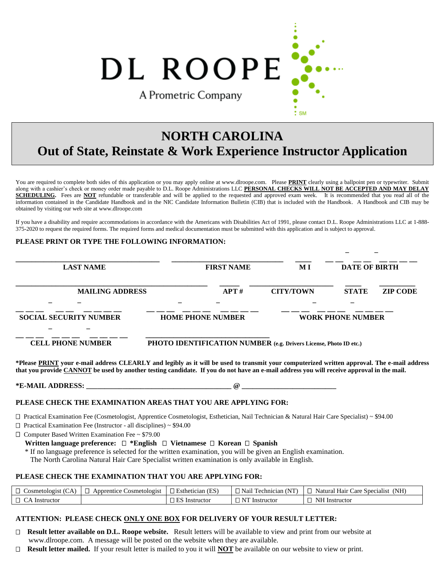DL ROOPE A Prometric Company

# **NORTH CAROLINA Out of State, Reinstate & Work Experience Instructor Application**

You are required to complete both sides of this application or you may apply online at www.dlroope.com. Please **PRINT** clearly using a ballpoint pen or typewriter. Submit along with a cashier's check or money order made payable to D.L. Roope Administrations LLC **PERSONAL CHECKS WILL NOT BE ACCEPTED AND MAY DELAY SCHEDULING.** Fees are **NOT** refundable or transferable and will be applied to the requested and approved exam week. It is recommended that you read all of the information contained in the Candidate Handbook and in the NIC Candidate Information Bulletin (CIB) that is included with the Handbook. A Handbook and CIB may be obtained by visiting our web site at www.dlroope.com

If you have a disability and require accommodations in accordance with the Americans with Disabilities Act of 1991, please contact D.L. Roope Administrations LLC at 1-888- 375-2020 to request the required forms. The required forms and medical documentation must be submitted with this application and is subject to approval.

 **\_ \_**

#### **PLEASE PRINT OR TYPE THE FOLLOWING INFORMATION:**

| <b>LAST NAME</b>                                          | <b>FIRST NAME</b>                                                                             | M I              | <b>DATE OF BIRTH</b>            |  |
|-----------------------------------------------------------|-----------------------------------------------------------------------------------------------|------------------|---------------------------------|--|
| <b>MAILING ADDRESS</b>                                    | APT#                                                                                          | <b>CITY/TOWN</b> | <b>STATE</b><br><b>ZIP CODE</b> |  |
|                                                           |                                                                                               |                  |                                 |  |
| <b>SOCIAL SECURITY NUMBER</b><br><b>CELL PHONE NUMBER</b> | <b>HOME PHONE NUMBER</b><br>PHOTO IDENTIFICATION NUMBER (e.g. Drivers License, Photo ID etc.) |                  | <b>WORK PHONE NUMBER</b>        |  |

**\*Please PRINT your e-mail address CLEARLY and legibly as it will be used to transmit your computerized written approval. The e-mail address that you provide CANNOT be used by another testing candidate. If you do not have an e-mail address you will receive approval in the mail.** 

**\*E-MAIL ADDRESS: \_\_\_\_\_\_\_\_\_\_\_\_\_\_\_\_\_\_\_\_\_\_\_\_\_\_\_\_\_\_\_\_\_\_\_\_\_\_\_\_ @ \_\_\_\_\_\_\_\_\_\_\_\_\_\_\_\_\_\_\_\_\_\_\_\_\_\_** 

#### **PLEASE CHECK THE EXAMINATION AREAS THAT YOU ARE APPLYING FOR:**

Practical Examination Fee (Cosmetologist, Apprentice Cosmetologist, Esthetician, Nail Technician & Natural Hair Care Specialist) ~ \$94.00

□ Practical Examination Fee (Instructor - all disciplines) ~ \$94.00

Computer Based Written Examination Fee ~ \$79.00

#### **Written language preference:** □ \*English □ Vietnamese □ Korean □ Spanish

\* If no language preference is selected for the written examination, you will be given an English examination.

The North Carolina Natural Hair Care Specialist written examination is only available in English.

#### **PLEASE CHECK THE EXAMINATION THAT YOU ARE APPLYING FOR:**

| -<br>$\sim$<br>osmetologist            | `osmetologist<br>Apprentice<br>ـــ | (ES<br>Esthetician | $\sim$ $\tau$<br>Nan<br>l echnician | (NH)<br>$\sim$<br>Natural<br>Hair<br>∠are<br>: Specialist |
|----------------------------------------|------------------------------------|--------------------|-------------------------------------|-----------------------------------------------------------|
| $\overline{\phantom{0}}$<br>Instructor |                                    | Instructor         | л.<br>Instructor                    | N <sub>H</sub><br>. Instructor                            |

#### **ATTENTION: PLEASE CHECK ONLY ONE BOX FOR DELIVERY OF YOUR RESULT LETTER:**

- **Result letter available on D.L. Roope website.** Result letters will be available to view and print from our website at www.dlroope.com. A message will be posted on the website when they are available.
- **Result letter mailed.** If your result letter is mailed to you it will **NOT** be available on our website to view or print.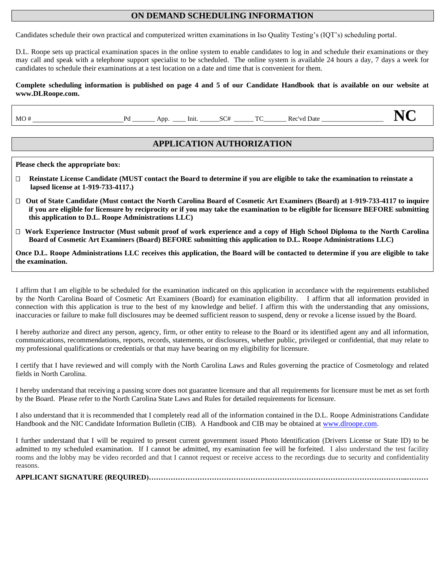# **ON DEMAND SCHEDULING INFORMATION**

Candidates schedule their own practical and computerized written examinations in Iso Quality Testing's (IQT's) scheduling portal.

D.L. Roope sets up practical examination spaces in the online system to enable candidates to log in and schedule their examinations or they may call and speak with a telephone support specialist to be scheduled. The online system is available 24 hours a day, 7 days a week for candidates to schedule their examinations at a test location on a date and time that is convenient for them.

#### **Complete scheduling information is published on page 4 and 5 of our Candidate Handbook that is available on our website at www.DLRoope.com.**

MO # Pd \_\_\_\_\_\_\_ App. \_\_\_\_ Init. \_\_\_\_\_\_SC# \_\_\_\_\_\_ TC\_\_\_\_\_\_\_ Rec'vd Date \_\_\_\_\_\_\_\_\_\_\_\_\_\_\_\_\_\_\_ **NC**

# **APPLICATION AUTHORIZATION**

**Please check the appropriate box:** 

- **Reinstate License Candidate (MUST contact the Board to determine if you are eligible to take the examination to reinstate a lapsed license at 1-919-733-4117.)**
- **Out of State Candidate (Must contact the North Carolina Board of Cosmetic Art Examiners (Board) at 1-919-733-4117 to inquire if you are eligible for licensure by reciprocity or if you may take the examination to be eligible for licensure BEFORE submitting this application to D.L. Roope Administrations LLC)**
- **Work Experience Instructor (Must submit proof of work experience and a copy of High School Diploma to the North Carolina Board of Cosmetic Art Examiners (Board) BEFORE submitting this application to D.L. Roope Administrations LLC)**

**Once D.L. Roope Administrations LLC receives this application, the Board will be contacted to determine if you are eligible to take the examination.** 

I affirm that I am eligible to be scheduled for the examination indicated on this application in accordance with the requirements established by the North Carolina Board of Cosmetic Art Examiners (Board) for examination eligibility. I affirm that all information provided in connection with this application is true to the best of my knowledge and belief. I affirm this with the understanding that any omissions, inaccuracies or failure to make full disclosures may be deemed sufficient reason to suspend, deny or revoke a license issued by the Board.

I hereby authorize and direct any person, agency, firm, or other entity to release to the Board or its identified agent any and all information, communications, recommendations, reports, records, statements, or disclosures, whether public, privileged or confidential, that may relate to my professional qualifications or credentials or that may have bearing on my eligibility for licensure.

I certify that I have reviewed and will comply with the North Carolina Laws and Rules governing the practice of Cosmetology and related fields in North Carolina.

I hereby understand that receiving a passing score does not guarantee licensure and that all requirements for licensure must be met as set forth by the Board. Please refer to the North Carolina State Laws and Rules for detailed requirements for licensure.

I also understand that it is recommended that I completely read all of the information contained in the D.L. Roope Administrations Candidate Handbook and the NIC Candidate Information Bulletin (CIB). A Handbook and CIB may be obtained at www.dlroope.com.

I further understand that I will be required to present current government issued Photo Identification (Drivers License or State ID) to be admitted to my scheduled examination. If I cannot be admitted, my examination fee will be forfeited. I also understand the test facility rooms and the lobby may be video recorded and that I cannot request or receive access to the recordings due to security and confidentiality reasons.

**APPLICANT SIGNATURE (REQUIRED)……………………………………………………………………………………………..………**